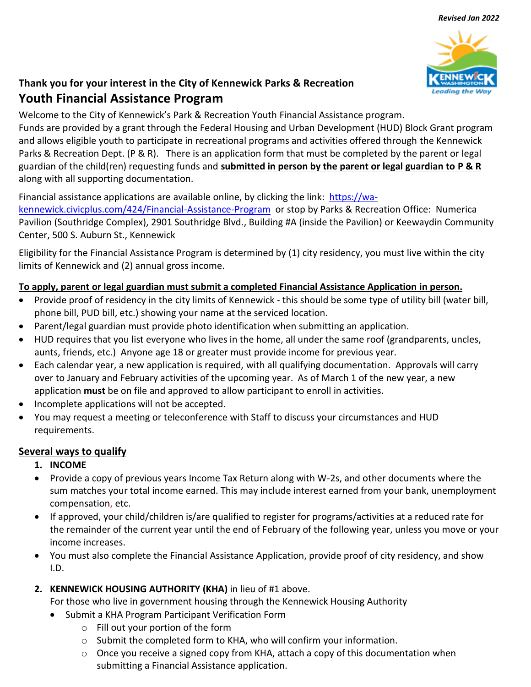

# **Thank you for your interest in the City of Kennewick Parks & Recreation Youth Financial Assistance Program**

Welcome to the City of Kennewick's Park & Recreation Youth Financial Assistance program.

Funds are provided by a grant through the Federal Housing and Urban Development (HUD) Block Grant program and allows eligible youth to participate in recreational programs and activities offered through the Kennewick Parks & Recreation Dept. (P & R). There is an application form that must be completed by the parent or legal guardian of the child(ren) requesting funds and **submitted in person by the parent or legal guardian to P & R** along with all supporting documentation.

Financial assistance applications are available online, by clicking the link: [https://wa-](https://wa-kennewick.civicplus.com/424/Financial-Assistance-Program)

[kennewick.civicplus.com/424/Financial-Assistance-Program](https://wa-kennewick.civicplus.com/424/Financial-Assistance-Program) or stop by Parks & Recreation Office: Numerica Pavilion (Southridge Complex), 2901 Southridge Blvd., Building #A (inside the Pavilion) or Keewaydin Community Center, 500 S. Auburn St., Kennewick

Eligibility for the Financial Assistance Program is determined by (1) city residency, you must live within the city limits of Kennewick and (2) annual gross income.

## **To apply, parent or legal guardian must submit a completed Financial Assistance Application in person.**

- Provide proof of residency in the city limits of Kennewick this should be some type of utility bill (water bill, phone bill, PUD bill, etc.) showing your name at the serviced location.
- Parent/legal guardian must provide photo identification when submitting an application.
- HUD requires that you list everyone who lives in the home, all under the same roof (grandparents, uncles, aunts, friends, etc.) Anyone age 18 or greater must provide income for previous year.
- Each calendar year, a new application is required, with all qualifying documentation. Approvals will carry over to January and February activities of the upcoming year. As of March 1 of the new year, a new application **must** be on file and approved to allow participant to enroll in activities.
- Incomplete applications will not be accepted.
- You may request a meeting or teleconference with Staff to discuss your circumstances and HUD requirements.

### **Several ways to qualify**

- **1. INCOME**
- Provide a copy of previous years Income Tax Return along with W-2s, and other documents where the sum matches your total income earned. This may include interest earned from your bank, unemployment compensation, etc.
- If approved, your child/children is/are qualified to register for programs/activities at a reduced rate for the remainder of the current year until the end of February of the following year, unless you move or your income increases.
- You must also complete the Financial Assistance Application, provide proof of city residency, and show I.D.
- **2. KENNEWICK HOUSING AUTHORITY (KHA)** in lieu of #1 above.

For those who live in government housing through the Kennewick Housing Authority

- Submit a KHA Program Participant Verification Form
	- o Fill out your portion of the form
	- o Submit the completed form to KHA, who will confirm your information.
	- o Once you receive a signed copy from KHA, attach a copy of this documentation when submitting a Financial Assistance application.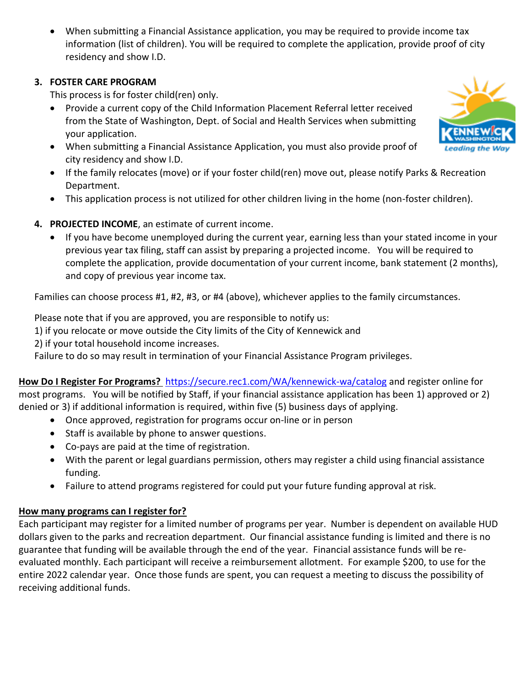When submitting a Financial Assistance application, you may be required to provide income tax information (list of children). You will be required to complete the application, provide proof of city residency and show I.D.

### **3. FOSTER CARE PROGRAM**

This process is for foster child(ren) only.

- Provide a current copy of the Child Information Placement Referral letter received from the State of Washington, Dept. of Social and Health Services when submitting your application.
- When submitting a Financial Assistance Application, you must also provide proof of city residency and show I.D.
- If the family relocates (move) or if your foster child(ren) move out, please notify Parks & Recreation Department.
- This application process is not utilized for other children living in the home (non-foster children).
- **4. PROJECTED INCOME**, an estimate of current income.
	- If you have become unemployed during the current year, earning less than your stated income in your previous year tax filing, staff can assist by preparing a projected income. You will be required to complete the application, provide documentation of your current income, bank statement (2 months), and copy of previous year income tax.

Families can choose process #1, #2, #3, or #4 (above), whichever applies to the family circumstances.

Please note that if you are approved, you are responsible to notify us:

1) if you relocate or move outside the City limits of the City of Kennewick and

2) if your total household income increases.

Failure to do so may result in termination of your Financial Assistance Program privileges.

**How Do I Register For Programs?** <https://secure.rec1.com/WA/kennewick-wa/catalog> and register online for most programs. You will be notified by Staff, if your financial assistance application has been 1) approved or 2) denied or 3) if additional information is required, within five (5) business days of applying.

- Once approved, registration for programs occur on-line or in person
- Staff is available by phone to answer questions.
- Co-pays are paid at the time of registration.
- With the parent or legal guardians permission, others may register a child using financial assistance funding.
- Failure to attend programs registered for could put your future funding approval at risk.

### **How many programs can I register for?**

Each participant may register for a limited number of programs per year. Number is dependent on available HUD dollars given to the parks and recreation department. Our financial assistance funding is limited and there is no guarantee that funding will be available through the end of the year. Financial assistance funds will be reevaluated monthly. Each participant will receive a reimbursement allotment. For example \$200, to use for the entire 2022 calendar year. Once those funds are spent, you can request a meeting to discuss the possibility of receiving additional funds.

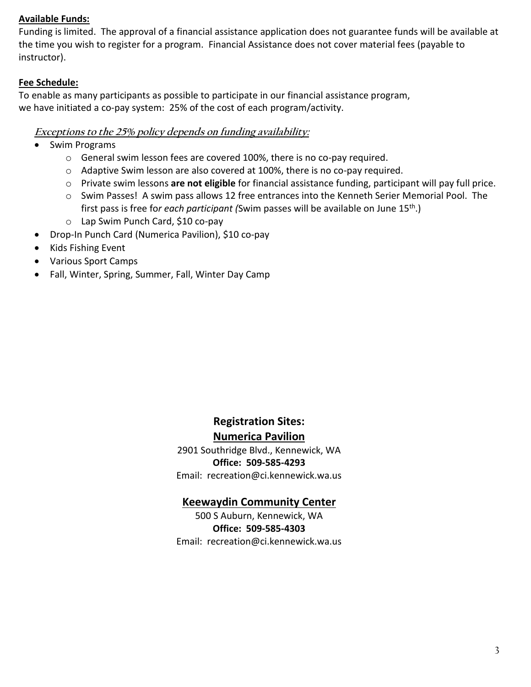#### **Available Funds:**

Funding is limited. The approval of a financial assistance application does not guarantee funds will be available at the time you wish to register for a program. Financial Assistance does not cover material fees (payable to instructor).

#### **Fee Schedule:**

To enable as many participants as possible to participate in our financial assistance program, we have initiated a co-pay system: 25% of the cost of each program/activity.

#### **Exceptions to the 25% policy depends on funding availability:**

- Swim Programs
	- o General swim lesson fees are covered 100%, there is no co-pay required.
	- o Adaptive Swim lesson are also covered at 100%, there is no co-pay required.
	- o Private swim lessons **are not eligible** for financial assistance funding, participant will pay full price.
	- o Swim Passes! A swim pass allows 12 free entrances into the Kenneth Serier Memorial Pool. The first pass is free for *each participant (*Swim passes will be available on June 15<sup>th</sup>.)
	- o Lap Swim Punch Card, \$10 co-pay
- Drop-In Punch Card (Numerica Pavilion), \$10 co-pay
- Kids Fishing Event
- Various Sport Camps
- Fall, Winter, Spring, Summer, Fall, Winter Day Camp

# **Registration Sites: Numerica Pavilion**

2901 Southridge Blvd., Kennewick, WA **Office: 509-585-4293** Email: recreation@ci.kennewick.wa.us

#### **Keewaydin Community Center**

500 S Auburn, Kennewick, WA **Office: 509-585-4303** Email: recreation@ci.kennewick.wa.us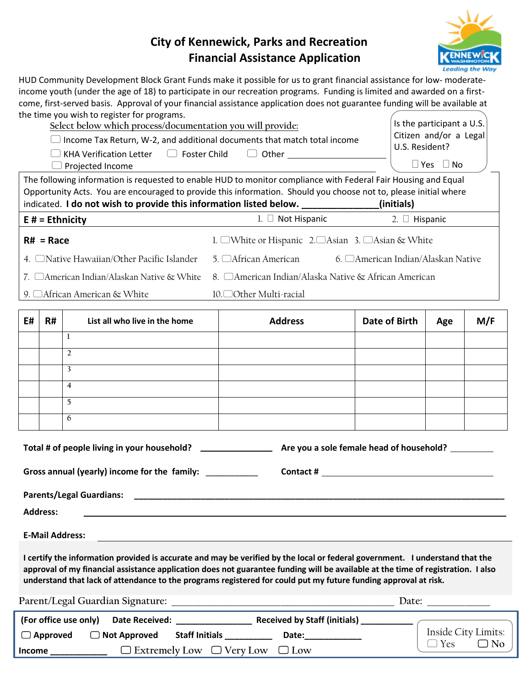## **City of Kennewick, Parks and Recreation Financial Assistance Application**



HUD Community Development Block Grant Funds make it possible for us to grant financial assistance for low- moderateincome youth (under the age of 18) to participate in our recreation programs. Funding is limited and awarded on a firstcome, first-served basis. Approval of your financial assistance application does not guarantee funding will be available at the time you wish to register for programs.

|               | $R# = Race$     | the time you wish to register for programs.<br>Select below which process/documentation you will provide:<br>$\Box$ Income Tax Return, W-2, and additional documents that match total income<br>KHA Verification Letter □ Foster Child □ Other _________________________________<br>Projected Income<br>The following information is requested to enable HUD to monitor compliance with Federal Fair Housing and Equal<br>Opportunity Acts. You are encouraged to provide this information. Should you choose not to, please initial where<br>indicated. I do not wish to provide this information listed below. _____________(initials)<br>$E#$ = Ethnicity<br>4. □Native Hawaiian/Other Pacific Islander | $1. \Box$ Not Hispanic<br>1. □White or Hispanic 2.□Asian 3. □Asian & White<br>5. □African American                                                     | U.S. Resident?<br>2. □ Hispanic<br>6. □ American Indian/Alaskan Native | Is the participant a U.S.<br>Citizen and/or a Legal<br>$\Box$ Yes $\Box$ No |                                  |
|---------------|-----------------|------------------------------------------------------------------------------------------------------------------------------------------------------------------------------------------------------------------------------------------------------------------------------------------------------------------------------------------------------------------------------------------------------------------------------------------------------------------------------------------------------------------------------------------------------------------------------------------------------------------------------------------------------------------------------------------------------------|--------------------------------------------------------------------------------------------------------------------------------------------------------|------------------------------------------------------------------------|-----------------------------------------------------------------------------|----------------------------------|
|               |                 | 7. □American Indian/Alaskan Native & White<br>9. □ African American & White                                                                                                                                                                                                                                                                                                                                                                                                                                                                                                                                                                                                                                | 8. □ American Indian/Alaska Native & African American<br>10. <sup>○</sup> Other Multi-racial                                                           |                                                                        |                                                                             |                                  |
| E#            | <b>R#</b>       | List all who live in the home                                                                                                                                                                                                                                                                                                                                                                                                                                                                                                                                                                                                                                                                              | <b>Address</b>                                                                                                                                         | Date of Birth                                                          | Age                                                                         | M/F                              |
|               |                 | L                                                                                                                                                                                                                                                                                                                                                                                                                                                                                                                                                                                                                                                                                                          |                                                                                                                                                        |                                                                        |                                                                             |                                  |
|               |                 | $\overline{2}$                                                                                                                                                                                                                                                                                                                                                                                                                                                                                                                                                                                                                                                                                             |                                                                                                                                                        |                                                                        |                                                                             |                                  |
|               |                 | $\overline{\mathbf{3}}$                                                                                                                                                                                                                                                                                                                                                                                                                                                                                                                                                                                                                                                                                    |                                                                                                                                                        |                                                                        |                                                                             |                                  |
|               |                 | $\overline{4}$                                                                                                                                                                                                                                                                                                                                                                                                                                                                                                                                                                                                                                                                                             |                                                                                                                                                        |                                                                        |                                                                             |                                  |
|               |                 | 5                                                                                                                                                                                                                                                                                                                                                                                                                                                                                                                                                                                                                                                                                                          |                                                                                                                                                        |                                                                        |                                                                             |                                  |
|               |                 | 6                                                                                                                                                                                                                                                                                                                                                                                                                                                                                                                                                                                                                                                                                                          |                                                                                                                                                        |                                                                        |                                                                             |                                  |
|               |                 | Gross annual (yearly) income for the family:                                                                                                                                                                                                                                                                                                                                                                                                                                                                                                                                                                                                                                                               |                                                                                                                                                        |                                                                        |                                                                             |                                  |
|               |                 | <b>Parents/Legal Guardians:</b>                                                                                                                                                                                                                                                                                                                                                                                                                                                                                                                                                                                                                                                                            |                                                                                                                                                        |                                                                        |                                                                             |                                  |
|               | <b>Address:</b> |                                                                                                                                                                                                                                                                                                                                                                                                                                                                                                                                                                                                                                                                                                            |                                                                                                                                                        |                                                                        |                                                                             |                                  |
|               |                 |                                                                                                                                                                                                                                                                                                                                                                                                                                                                                                                                                                                                                                                                                                            |                                                                                                                                                        |                                                                        |                                                                             |                                  |
|               |                 | <b>E-Mail Address:</b>                                                                                                                                                                                                                                                                                                                                                                                                                                                                                                                                                                                                                                                                                     |                                                                                                                                                        |                                                                        |                                                                             |                                  |
|               |                 | I certify the information provided is accurate and may be verified by the local or federal government. I understand that the<br>approval of my financial assistance application does not guarantee funding will be available at the time of registration. I also<br>understand that lack of attendance to the programs registered for could put my future funding approval at risk.                                                                                                                                                                                                                                                                                                                        |                                                                                                                                                        |                                                                        |                                                                             |                                  |
|               |                 |                                                                                                                                                                                                                                                                                                                                                                                                                                                                                                                                                                                                                                                                                                            |                                                                                                                                                        |                                                                        | Date: $\frac{1}{\sqrt{1-\frac{1}{2}} \cdot \frac{1}{2}}$                    |                                  |
|               |                 | (For office use only)                                                                                                                                                                                                                                                                                                                                                                                                                                                                                                                                                                                                                                                                                      |                                                                                                                                                        |                                                                        |                                                                             |                                  |
|               | $\Box$ Approved | $\Box$ Not Approved                                                                                                                                                                                                                                                                                                                                                                                                                                                                                                                                                                                                                                                                                        | Date: and the state of the state of the state of the state of the state of the state of the state of the state<br>Staff Initials <b>Staff Initials</b> |                                                                        | $\Box$ Yes                                                                  | Inside City Limits:<br>$\Box$ No |
| <b>Income</b> |                 |                                                                                                                                                                                                                                                                                                                                                                                                                                                                                                                                                                                                                                                                                                            | $\Box$ Extremely Low $\Box$ Very Low $\Box$ Low                                                                                                        |                                                                        |                                                                             |                                  |